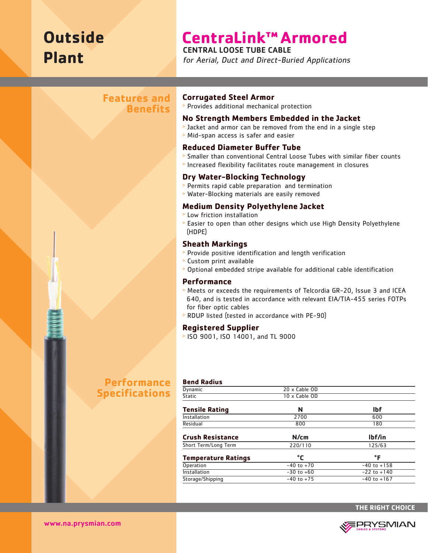# **Outside Plant**

# **CentraLink™ Armored**

### CENTRAL LOOSE TUBE CABLE

for Aerial, Duct and Direct-Buried Applications

## **Features and Benefits**

### **Corrugated Steel Armor**

<sup>&</sup>gt; Provides additional mechanical protection

#### **No Strength Members Embedded in the Jacket**

- <sup>&</sup>gt; Jacket and armor can be removed from the end in a single step
- <sup>&</sup>gt; Mid-span access is safer and easier

#### **Reduced Diameter Buffer Tube**

- <sup>&</sup>gt; Smaller than conventional Central Loose Tubes with similar fiber counts
- <sup>&</sup>gt; Increased flexibility facilitates route management in closures

#### **Dry Water-Blocking Technology**

- <sup>&</sup>gt; Permits rapid cable preparation and termination
- <sup>&</sup>gt; Water-Blocking materials are easily removed

### **Medium Density Polyethylene Jacket**

- <sup>&</sup>gt; Low friction installation
- <sup>&</sup>gt; Easier to open than other designs which use High Density Polyethylene (HDPE)

#### **Sheath Markings**

- <sup>&</sup>gt; Provide positive identification and length verification
- <sup>&</sup>gt; Custom print available
- <sup>&</sup>gt; Optional embedded stripe available for additional cable identification

#### **Performance**

- <sup>&</sup>gt; Meets or exceeds the requirements of Telcordia GR-20, Issue 3 and ICEA 640, and is tested in accordance with relevant EIA/TIA-455 series FOTPs for fiber optic cables
- <sup>&</sup>gt; RDUP listed (tested in accordance with PE-90)

#### **Registered Supplier**

<sup>&</sup>gt; ISO 9001, ISO 14001, and TL 9000

# **Performance Specifications**

| <b>Bend Radius</b>         |                |                 |
|----------------------------|----------------|-----------------|
| Dynamic                    | 20 x Cable OD  |                 |
| <b>Static</b>              | 10 x Cable OD  |                 |
| <b>Tensile Rating</b>      | N              | <b>Ibf</b>      |
| Installation               | 2700           | 600             |
| Residual                   | 800            | 180             |
| <b>Crush Resistance</b>    | N/cm           | lbf/in          |
| Short Term/Long Term       | 220/110        | 125/63          |
| <b>Temperature Ratings</b> | °C             | °F              |
| Operation                  | $-40$ to $+70$ | $-40$ to $+158$ |
| Installation               | $-30$ to $+60$ | $-22$ to $+140$ |
| Storage/Shipping           | $-40$ to $+75$ | $-40$ to $+167$ |



www.na.prysmian.com